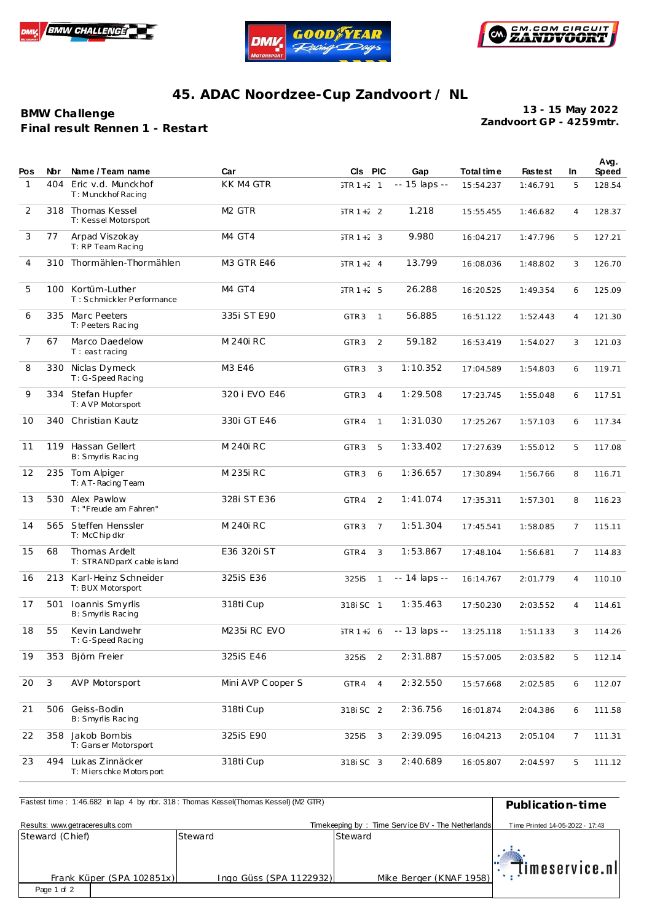





## **45. ADAC Noordzee-Cup Zandvoort / NL**

**BMW Challenge F inal result Rennen 1 - Restart** **Zandvoort GP - 4259mtr. 13 - 15 May 2022**

| Pos            | <b>Nbr</b> | Name / Team name                               | Car                     | CIs PIC          |                | Gap           | Total tim e | <b>Fastest</b> | In.            | Avg.<br>Speed |
|----------------|------------|------------------------------------------------|-------------------------|------------------|----------------|---------------|-------------|----------------|----------------|---------------|
| 1              | 404        | Eric v.d. Munckhof<br>T: Munckhof Racing       | KK M4 GTR               | $JTR 1 + 2 1$    |                | -- 15 laps -- | 15:54.237   | 1:46.791       | 5              | 128.54        |
| 2              |            | 318 Thomas Kessel<br>T: Kessel Motorsport      | M <sub>2</sub> GTR      | $JTR 1 + 2$ 2    |                | 1.218         | 15:55.455   | 1:46.682       | $\overline{4}$ | 128.37        |
| 3              | 77         | Arpad Viszokay<br>T: RP Team Racing            | M4 GT4                  | $JTR 1 + 2 3$    |                | 9.980         | 16:04.217   | 1:47.796       | 5              | 127.21        |
| $\overline{4}$ | 310        | Thormählen-Thormählen                          | <b>M3 GTR E46</b>       | $JTR 1 + 2 4$    |                | 13.799        | 16:08.036   | 1:48.802       | 3              | 126.70        |
| 5              | 100        | Kortüm-Luther<br>T: Schmickler Performance     | M4 GT4                  | $JTR 1 + 2 5$    |                | 26.288        | 16:20.525   | 1:49.354       | 6              | 125.09        |
| 6              |            | 335 Marc Peeters<br>T: Peeters Racing          | 335i ST E90             | GTR <sub>3</sub> | $\mathbf{1}$   | 56.885        | 16:51.122   | 1:52.443       | 4              | 121.30        |
| 7              | 67         | Marco Daedelow<br>$T:$ east racing             | M 240i RC               | GTR <sub>3</sub> | 2              | 59.182        | 16:53.419   | 1:54.027       | 3              | 121.03        |
| 8              |            | 330 Niclas Dymeck<br>T: G-Speed Racing         | M3 E46                  | GTR <sub>3</sub> | 3              | 1:10.352      | 17:04.589   | 1:54.803       | 6              | 119.71        |
| 9              |            | 334 Stefan Hupfer<br>T: AVP Motorsport         | 320 i EVO E46           | GTR <sub>3</sub> | $\overline{4}$ | 1:29.508      | 17:23.745   | 1:55.048       | 6              | 117.51        |
| 10             | 340        | Christian Kautz                                | 330i GT E46             | GTR4             | $\mathbf{1}$   | 1:31.030      | 17:25.267   | 1:57.103       | 6              | 117.34        |
| 11             | 119        | Hassan Gellert<br>B: Smyrlis Racing            | M 240i RC               | GTR <sub>3</sub> | 5              | 1:33.402      | 17:27.639   | 1:55.012       | 5              | 117.08        |
| 12             |            | 235 Tom Alpiger<br>T: A T-Racing Team          | M 235i RC               | GTR <sub>3</sub> | 6              | 1:36.657      | 17:30.894   | 1:56.766       | 8              | 116.71        |
| 13             |            | 530 Alex Pawlow<br>T: "Freude am Fahren"       | 328i ST E36             | GTR4             | 2              | 1:41.074      | 17:35.311   | 1:57.301       | 8              | 116.23        |
| 14             | 565        | Steffen Henssler<br>T: McChip dkr              | M 240i RC               | GTR <sub>3</sub> | $\overline{7}$ | 1:51.304      | 17:45.541   | 1:58.085       | 7              | 115.11        |
| 15             | 68         | Thomas Ardelt<br>T: STRANDparX cable is land   | E36 320i ST             | GTR4             | 3              | 1:53.867      | 17:48.104   | 1:56.681       | 7              | 114.83        |
| 16             | 213        | Karl-Heinz Schneider<br>T: BUX Motorsport      | 325iS E36               | 325iS            | $\mathbf{1}$   | -- 14 laps -- | 16:14.767   | 2:01.779       | 4              | 110.10        |
| 17             | 501        | Ioannis Smyrlis<br>B: Smyrlis Racing           | 318ti Cup               | 318i SC 1        |                | 1:35.463      | 17:50.230   | 2:03.552       | 4              | 114.61        |
| 18             | 55         | Kevin Landwehr<br>T: G-Speed Racing            | M <sub>235</sub> RC EVO | $JTR 1 + 26$     |                | -- 13 laps -- | 13:25.118   | 1:51.133       | 3              | 114.26        |
| 19             | 353        | Björn Freier                                   | 325iS E46               | 325iS            | $\overline{2}$ | 2:31.887      | 15:57.005   | 2:03.582       | 5              | 112.14        |
| 20             | 3          | <b>AVP Motorsport</b>                          | Mini AVP Cooper S       | GTR4             | $\overline{4}$ | 2:32.550      | 15:57.668   | 2:02.585       | 6              | 112.07        |
| 21             | 506        | Geiss-Bodin<br>B: Smyrlis Racing               | 318ti Cup               | 318i SC 2        |                | 2:36.756      | 16:01.874   | 2:04.386       | 6              | 111.58        |
| 22             | 358        | Jakob Bombis<br>T: Ganser Motorsport           | 325iS E90               | 325iS            | 3              | 2:39.095      | 16:04.213   | 2:05.104       | 7              | 111.31        |
| 23             |            | 494 Lukas Zinnäcker<br>T: Mierschke Motorsport | 318ti Cup               | 318i SC 3        |                | 2:40.689      | 16:05.807   | 2:04.597       | 5              | 111.12        |

| Fastest time: 1:46.682 in lap 4 by rbr. 318: Thomas Kessel(Thomas Kessel) (M2 GTR) | Publication-time        |                                                   |                                             |  |
|------------------------------------------------------------------------------------|-------------------------|---------------------------------------------------|---------------------------------------------|--|
| Results: www.getraceresults.com                                                    |                         | Timekeeping by: Time Service BV - The Netherlands | Time Printed 14-05-2022 - 17:43             |  |
| Steward (Chief)                                                                    | Steward                 | Steward                                           |                                             |  |
| Frank Küper (SPA 102851x)                                                          | Ingo Güss (SPA 1122932) | Mike Berger (KNAF 1958)                           | $\left\Vert \cdot\right\Vert$ imeservice.nl |  |
| Page 1 of 2                                                                        |                         |                                                   |                                             |  |